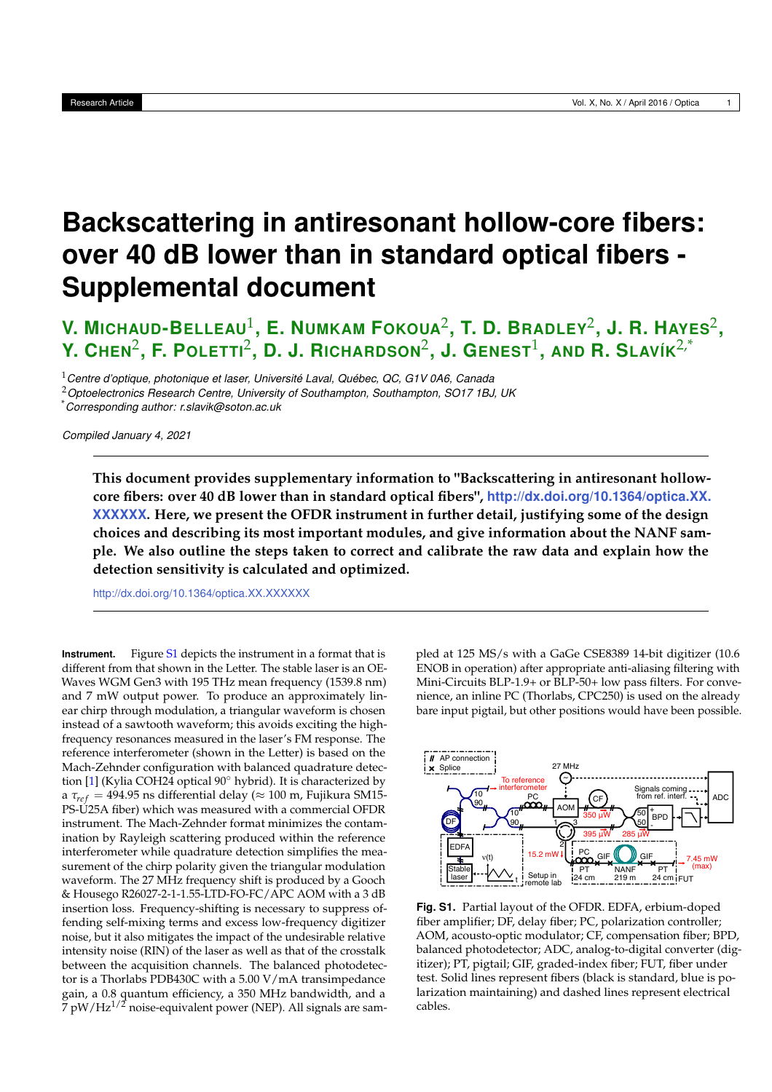## **Backscattering in antiresonant hollow-core fibers: over 40 dB lower than in standard optical fibers - Supplemental document**

**V. MICHAUD-BELLEAU**<sup>1</sup> **, E. NUMKAM FOKOUA**<sup>2</sup> **, T. D. BRADLEY**<sup>2</sup> **, J. R. HAYES**<sup>2</sup> **, Y. CHEN**<sup>2</sup> **, F. POLETTI**<sup>2</sup> **, D. J. RICHARDSON**<sup>2</sup> **, J. GENEST**<sup>1</sup> **, AND R. SLAVÍK**2,\*

<sup>1</sup>*Centre d'optique, photonique et laser, Université Laval, Québec, QC, G1V 0A6, Canada*

<sup>2</sup>*Optoelectronics Research Centre, University of Southampton, Southampton, SO17 1BJ, UK*

\**Corresponding author: r.slavik@soton.ac.uk*

*Compiled January 4, 2021*

**This document provides supplementary information to "Backscattering in antiresonant hollowcore fibers: over 40 dB lower than in standard optical fibers", http://dx.doi.org/10.1364/optica.XX. XXXXXX. Here, we present the OFDR instrument in further detail, justifying some of the design choices and describing its most important modules, and give information about the NANF sample. We also outline the steps taken to correct and calibrate the raw data and explain how the detection sensitivity is calculated and optimized.**

http://dx.doi.org/10.1364/optica.XX.XXXXXX

**Instrument.** Figure S1 depicts the instrument in a format that is different from that shown in the Letter. The stable laser is an OE-Waves WGM Gen3 with 195 THz mean frequency (1539.8 nm) and 7 mW output power. To produce an approximately linear chirp through modulation, a triangular waveform is chosen instead of a sawtooth waveform; this avoids exciting the highfrequency resonances measured in the laser's FM response. The reference interferometer (shown in the Letter) is based on the Mach-Zehnder configuration with balanced quadrature detection [1] (Kylia COH24 optical 90◦ hybrid). It is characterized by a  $\tau_{ref}$  = 494.95 ns differential delay ( $\approx$  100 m, Fujikura SM15-PS-U25A fiber) which was measured with a commercial OFDR instrument. The Mach-Zehnder format minimizes the contamination by Rayleigh scattering produced within the reference interferometer while quadrature detection simplifies the measurement of the chirp polarity given the triangular modulation waveform. The 27 MHz frequency shift is produced by a Gooch & Housego R26027-2-1-1.55-LTD-FO-FC/APC AOM with a 3 dB insertion loss. Frequency-shifting is necessary to suppress offending self-mixing terms and excess low-frequency digitizer noise, but it also mitigates the impact of the undesirable relative intensity noise (RIN) of the laser as well as that of the crosstalk between the acquisition channels. The balanced photodetector is a Thorlabs PDB430C with a 5.00 V/mA transimpedance gain, a 0.8 quantum efficiency, a 350 MHz bandwidth, and a  $\frac{7}{7}$  pW/Hz<sup>1/2</sup> noise-equivalent power (NEP). All signals are sampled at 125 MS/s with a GaGe CSE8389 14-bit digitizer (10.6 ENOB in operation) after appropriate anti-aliasing filtering with Mini-Circuits BLP-1.9+ or BLP-50+ low pass filters. For convenience, an inline PC (Thorlabs, CPC250) is used on the already bare input pigtail, but other positions would have been possible.



**Fig. S1.** Partial layout of the OFDR. EDFA, erbium-doped fiber amplifier; DF, delay fiber; PC, polarization controller; AOM, acousto-optic modulator; CF, compensation fiber; BPD, balanced photodetector; ADC, analog-to-digital converter (digitizer); PT, pigtail; GIF, graded-index fiber; FUT, fiber under test. Solid lines represent fibers (black is standard, blue is polarization maintaining) and dashed lines represent electrical cables.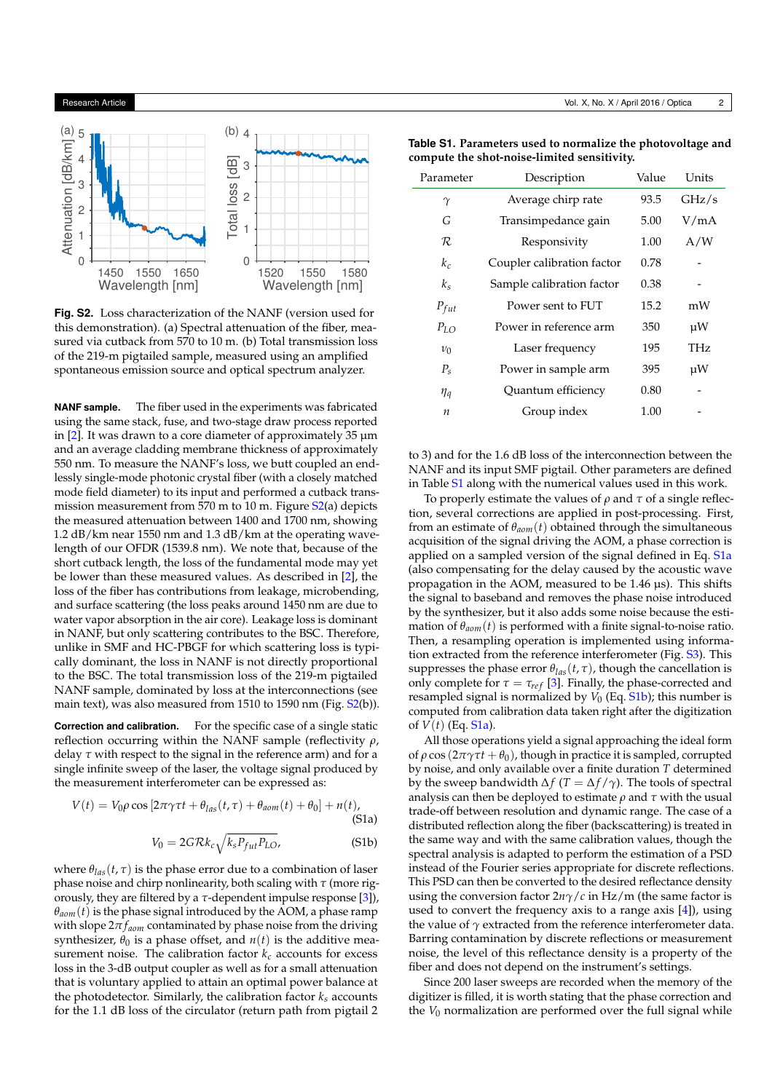

**Fig. S2.** Loss characterization of the NANF (version used for this demonstration). (a) Spectral attenuation of the fiber, measured via cutback from 570 to 10 m. (b) Total transmission loss of the 219-m pigtailed sample, measured using an amplified spontaneous emission source and optical spectrum analyzer.

**NANF sample.** The fiber used in the experiments was fabricated using the same stack, fuse, and two-stage draw process reported in  $[2]$ . It was drawn to a core diameter of approximately 35  $\mu$ m and an average cladding membrane thickness of approximately 550 nm. To measure the NANF's loss, we butt coupled an endlessly single-mode photonic crystal fiber (with a closely matched mode field diameter) to its input and performed a cutback transmission measurement from 570 m to 10 m. Figure S2(a) depicts the measured attenuation between 1400 and 1700 nm, showing 1.2 dB/km near 1550 nm and 1.3 dB/km at the operating wavelength of our OFDR (1539.8 nm). We note that, because of the short cutback length, the loss of the fundamental mode may yet be lower than these measured values. As described in [2], the loss of the fiber has contributions from leakage, microbending, and surface scattering (the loss peaks around 1450 nm are due to water vapor absorption in the air core). Leakage loss is dominant in NANF, but only scattering contributes to the BSC. Therefore, unlike in SMF and HC-PBGF for which scattering loss is typically dominant, the loss in NANF is not directly proportional to the BSC. The total transmission loss of the 219-m pigtailed NANF sample, dominated by loss at the interconnections (see main text), was also measured from 1510 to 1590 nm (Fig. S2(b)).

**Correction and calibration.** For the specific case of a single static reflection occurring within the NANF sample (reflectivity *ρ*, delay *τ* with respect to the signal in the reference arm) and for a single infinite sweep of the laser, the voltage signal produced by the measurement interferometer can be expressed as:

$$
V(t) = V_0 \rho \cos\left[2\pi\gamma\tau t + \theta_{las}(t,\tau) + \theta_{aom}(t) + \theta_0\right] + n(t),
$$
\n(51a)

$$
V_0 = 2G\mathcal{R}k_c\sqrt{k_s P_{fut} P_{LO}},
$$
 (S1b)

where  $\theta_{\text{las}}(t, \tau)$  is the phase error due to a combination of laser phase noise and chirp nonlinearity, both scaling with *τ* (more rigorously, they are filtered by a *τ*-dependent impulse response [3]),  $\theta_{aom}(t)$  is the phase signal introduced by the AOM, a phase ramp with slope 2*π faom* contaminated by phase noise from the driving synthesizer,  $\theta_0$  is a phase offset, and  $n(t)$  is the additive measurement noise. The calibration factor  $k_c$  accounts for excess loss in the 3-dB output coupler as well as for a small attenuation that is voluntary applied to attain an optimal power balance at the photodetector. Similarly, the calibration factor  $k_s$  accounts for the 1.1 dB loss of the circulator (return path from pigtail 2

**Table S1. Parameters used to normalize the photovoltage and compute the shot-noise-limited sensitivity.**

| Parameter        | Description                | Value | Units |
|------------------|----------------------------|-------|-------|
| $\gamma$         | Average chirp rate         | 93.5  | GHz/s |
| G                | Transimpedance gain        | 5.00  | V/mA  |
| R                | Responsivity               | 1.00  | A/W   |
| $k_c$            | Coupler calibration factor | 0.78  |       |
| $k_s$            | Sample calibration factor  | 0.38  |       |
| $P_{fut}$        | Power sent to FUT          | 15.2  | mW    |
| $P_{LO}$         | Power in reference arm     | 350   | μW    |
| $\nu_0$          | Laser frequency            | 195   | THz   |
| $P_{\rm s}$      | Power in sample arm        | 395   | μW    |
| $\eta_q$         | Quantum efficiency         | 0.80  |       |
| $\boldsymbol{n}$ | Group index                | 1.00  |       |

to 3) and for the 1.6 dB loss of the interconnection between the NANF and its input SMF pigtail. Other parameters are defined in Table S1 along with the numerical values used in this work.

To properly estimate the values of *ρ* and *τ* of a single reflection, several corrections are applied in post-processing. First, from an estimate of *θaom*(*t*) obtained through the simultaneous acquisition of the signal driving the AOM, a phase correction is applied on a sampled version of the signal defined in Eq. S1a (also compensating for the delay caused by the acoustic wave propagation in the AOM, measured to be 1.46 µs). This shifts the signal to baseband and removes the phase noise introduced by the synthesizer, but it also adds some noise because the estimation of *θaom*(*t*) is performed with a finite signal-to-noise ratio. Then, a resampling operation is implemented using information extracted from the reference interferometer (Fig. S3). This suppresses the phase error  $\theta_{las}(t, \tau)$ , though the cancellation is only complete for  $\tau = \tau_{ref}$  [3]. Finally, the phase-corrected and resampled signal is normalized by  $V_0$  (Eq.  $S1b$ ); this number is computed from calibration data taken right after the digitization of *V*(*t*) (Eq. S1a).

All those operations yield a signal approaching the ideal form of  $ρ$  cos ( $2πγτt + θ<sub>0</sub>$ ), though in practice it is sampled, corrupted by noise, and only available over a finite duration *T* determined by the sweep bandwidth  $\Delta f$  (*T* =  $\Delta f/\gamma$ ). The tools of spectral analysis can then be deployed to estimate *ρ* and *τ* with the usual trade-off between resolution and dynamic range. The case of a distributed reflection along the fiber (backscattering) is treated in the same way and with the same calibration values, though the spectral analysis is adapted to perform the estimation of a PSD instead of the Fourier series appropriate for discrete reflections. This PSD can then be converted to the desired reflectance density using the conversion factor 2*nγ*/*c* in Hz/m (the same factor is used to convert the frequency axis to a range axis [4]), using the value of *γ* extracted from the reference interferometer data. Barring contamination by discrete reflections or measurement noise, the level of this reflectance density is a property of the fiber and does not depend on the instrument's settings.

Since 200 laser sweeps are recorded when the memory of the digitizer is filled, it is worth stating that the phase correction and the *V*<sup>0</sup> normalization are performed over the full signal while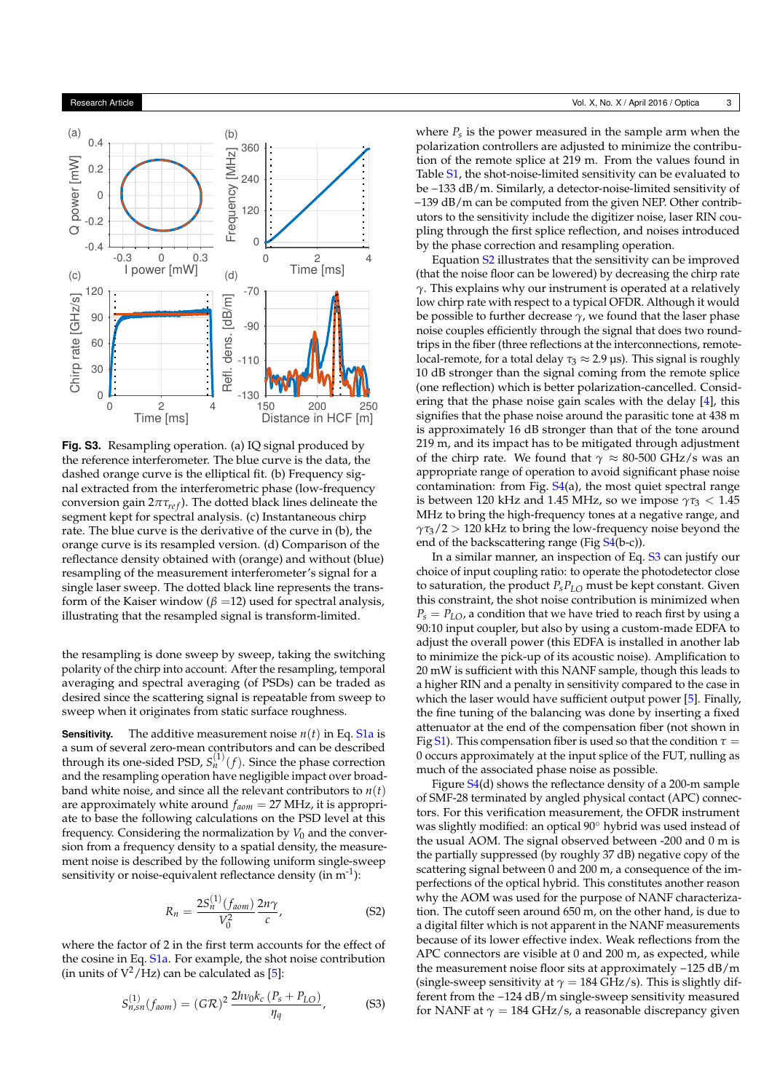

**Fig. S3.** Resampling operation. (a) IQ signal produced by the reference interferometer. The blue curve is the data, the dashed orange curve is the elliptical fit. (b) Frequency signal extracted from the interferometric phase (low-frequency conversion gain  $2πτ<sub>ref</sub>$ ). The dotted black lines delineate the segment kept for spectral analysis. (c) Instantaneous chirp rate. The blue curve is the derivative of the curve in (b), the orange curve is its resampled version. (d) Comparison of the reflectance density obtained with (orange) and without (blue) resampling of the measurement interferometer's signal for a single laser sweep. The dotted black line represents the transform of the Kaiser window ( $\beta$  =12) used for spectral analysis, illustrating that the resampled signal is transform-limited.

the resampling is done sweep by sweep, taking the switching polarity of the chirp into account. After the resampling, temporal averaging and spectral averaging (of PSDs) can be traded as desired since the scattering signal is repeatable from sweep to sweep when it originates from static surface roughness.

**Sensitivity.** The additive measurement noise  $n(t)$  in Eq. S1a is a sum of several zero-mean contributors and can be described through its one-sided PSD,  $S^{(1)}_{n}(f)$ . Since the phase correction and the resampling operation have negligible impact over broadband white noise, and since all the relevant contributors to  $n(t)$ are approximately white around *faom* = 27 MHz, it is appropriate to base the following calculations on the PSD level at this frequency. Considering the normalization by  $V_0$  and the conversion from a frequency density to a spatial density, the measurement noise is described by the following uniform single-sweep sensitivity or noise-equivalent reflectance density (in  $m^{-1}$ ):

$$
R_n = \frac{2S_n^{(1)}(f_{aom})}{V_0^2} \frac{2n\gamma}{c},
$$
 (S2)

where the factor of 2 in the first term accounts for the effect of the cosine in Eq. S1a. For example, the shot noise contribution (in units of  $V^2$ /Hz) can be calculated as [5]:

$$
S_{n,sn}^{(1)}(f_{aom}) = (G\mathcal{R})^2 \frac{2h\nu_0 k_c (P_s + P_{LO})}{\eta_q},
$$
 (S3)

where *Ps* is the power measured in the sample arm when the polarization controllers are adjusted to minimize the contribution of the remote splice at 219 m. From the values found in Table S1, the shot-noise-limited sensitivity can be evaluated to be −133 dB/m. Similarly, a detector-noise-limited sensitivity of −139 dB/m can be computed from the given NEP. Other contributors to the sensitivity include the digitizer noise, laser RIN coupling through the first splice reflection, and noises introduced by the phase correction and resampling operation.

Equation S2 illustrates that the sensitivity can be improved (that the noise floor can be lowered) by decreasing the chirp rate *γ*. This explains why our instrument is operated at a relatively low chirp rate with respect to a typical OFDR. Although it would be possible to further decrease  $\gamma$ , we found that the laser phase noise couples efficiently through the signal that does two roundtrips in the fiber (three reflections at the interconnections, remotelocal-remote, for a total delay  $\tau_3 \approx 2.9$  µs). This signal is roughly 10 dB stronger than the signal coming from the remote splice (one reflection) which is better polarization-cancelled. Considering that the phase noise gain scales with the delay [4], this signifies that the phase noise around the parasitic tone at 438 m is approximately 16 dB stronger than that of the tone around 219 m, and its impact has to be mitigated through adjustment of the chirp rate. We found that  $\gamma \approx 80\text{-}500 \text{ GHz/s}$  was an appropriate range of operation to avoid significant phase noise contamination: from Fig. S4(a), the most quiet spectral range is between 120 kHz and 1.45 MHz, so we impose  $\gamma \tau_3 < 1.45$ MHz to bring the high-frequency tones at a negative range, and *γτ*3/2 > 120 kHz to bring the low-frequency noise beyond the end of the backscattering range (Fig S4(b-c)).

In a similar manner, an inspection of Eq. S3 can justify our choice of input coupling ratio: to operate the photodetector close to saturation, the product  $P_s P_{LO}$  must be kept constant. Given this constraint, the shot noise contribution is minimized when  $P_s = P_{LO}$ , a condition that we have tried to reach first by using a 90:10 input coupler, but also by using a custom-made EDFA to adjust the overall power (this EDFA is installed in another lab to minimize the pick-up of its acoustic noise). Amplification to 20 mW is sufficient with this NANF sample, though this leads to a higher RIN and a penalty in sensitivity compared to the case in which the laser would have sufficient output power [5]. Finally, the fine tuning of the balancing was done by inserting a fixed attenuator at the end of the compensation fiber (not shown in Fig S1). This compensation fiber is used so that the condition  $\tau =$ 0 occurs approximately at the input splice of the FUT, nulling as much of the associated phase noise as possible.

Figure S4(d) shows the reflectance density of a 200-m sample of SMF-28 terminated by angled physical contact (APC) connectors. For this verification measurement, the OFDR instrument was slightly modified: an optical 90◦ hybrid was used instead of the usual AOM. The signal observed between -200 and 0 m is the partially suppressed (by roughly 37 dB) negative copy of the scattering signal between 0 and 200 m, a consequence of the imperfections of the optical hybrid. This constitutes another reason why the AOM was used for the purpose of NANF characterization. The cutoff seen around 650 m, on the other hand, is due to a digital filter which is not apparent in the NANF measurements because of its lower effective index. Weak reflections from the APC connectors are visible at 0 and 200 m, as expected, while the measurement noise floor sits at approximately −125 dB/m (single-sweep sensitivity at  $\gamma = 184$  GHz/s). This is slightly different from the −124 dB/m single-sweep sensitivity measured for NANF at  $\gamma = 184$  GHz/s, a reasonable discrepancy given